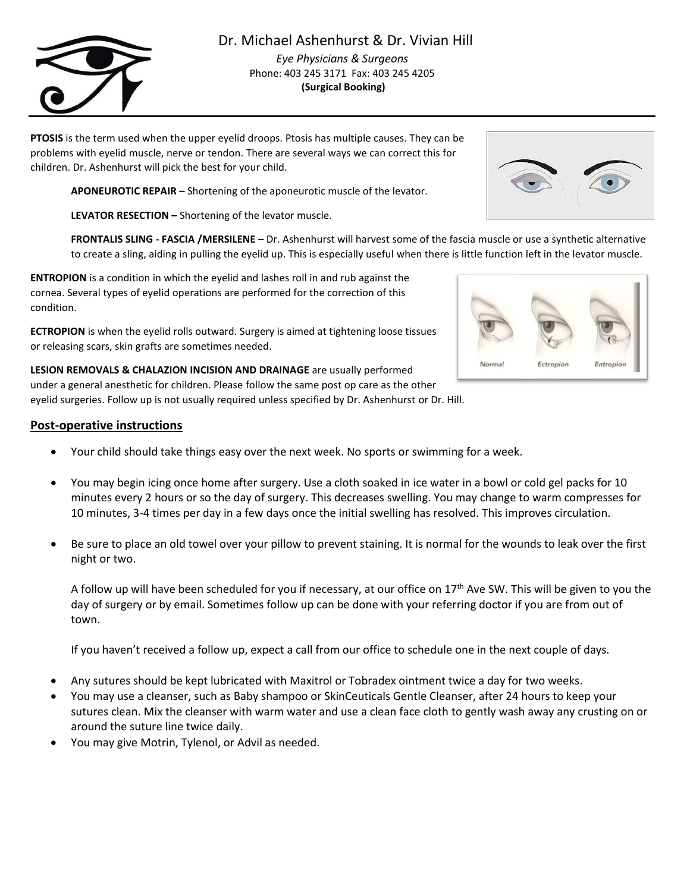# Dr. Michael Ashenhurst & Dr. Vivian Hill

*Eye Physicians & Surgeons* Phone: 403 245 3171 Fax: 403 245 4205 **(Surgical Booking)**

**PTOSIS** is the term used when the upper eyelid droops. Ptosis has multiple causes. They can be problems with eyelid muscle, nerve or tendon. There are several ways we can correct this for children. Dr. Ashenhurst will pick the best for your child.

**APONEUROTIC REPAIR –** Shortening of the aponeurotic muscle of the levator.

**LEVATOR RESECTION –** Shortening of the levator muscle.

**FRONTALIS SLING - FASCIA /MERSILENE –** Dr. Ashenhurst will harvest some of the fascia muscle or use a synthetic alternative to create a sling, aiding in pulling the eyelid up. This is especially useful when there is little function left in the levator muscle.

**ENTROPION** is a condition in which the eyelid and lashes roll in and rub against the cornea. Several types of eyelid operations are performed for the correction of this condition.

**ECTROPION** is when the eyelid rolls outward. Surgery is aimed at tightening loose tissues or releasing scars, skin grafts are sometimes needed.

**LESION REMOVALS & CHALAZION INCISION AND DRAINAGE** are usually performed under a general anesthetic for children. Please follow the same post op care as the other eyelid surgeries. Follow up is not usually required unless specified by Dr. Ashenhurst or Dr. Hill.

## **Post-operative instructions**

- Your child should take things easy over the next week. No sports or swimming for a week.
- You may begin icing once home after surgery. Use a cloth soaked in ice water in a bowl or cold gel packs for 10 minutes every 2 hours or so the day of surgery. This decreases swelling. You may change to warm compresses for 10 minutes, 3-4 times per day in a few days once the initial swelling has resolved. This improves circulation.
- Be sure to place an old towel over your pillow to prevent staining. It is normal for the wounds to leak over the first night or two.

A follow up will have been scheduled for you if necessary, at our office on  $17<sup>th</sup>$  Ave SW. This will be given to you the day of surgery or by email. Sometimes follow up can be done with your referring doctor if you are from out of town.

If you haven't received a follow up, expect a call from our office to schedule one in the next couple of days.

- Any sutures should be kept lubricated with Maxitrol or Tobradex ointment twice a day for two weeks.
- You may use a cleanser, such as Baby shampoo or SkinCeuticals Gentle Cleanser, after 24 hours to keep your sutures clean. Mix the cleanser with warm water and use a clean face cloth to gently wash away any crusting on or around the suture line twice daily.
- You may give Motrin, Tylenol, or Advil as needed.